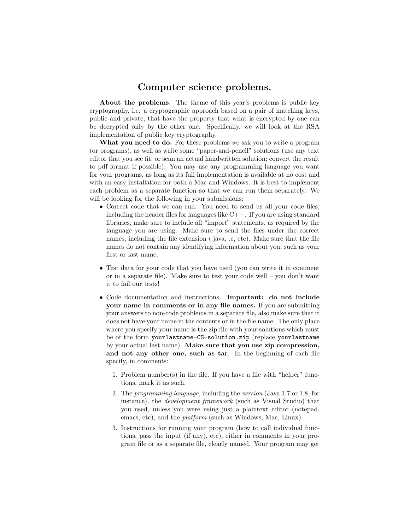## Computer science problems.

About the problems. The theme of this year's problems is public key cryptography, i.e. a cryptographic approach based on a pair of matching keys, public and private, that have the property that what is encrypted by one can be decrypted only by the other one. Specifically, we will look at the RSA implementation of public key cryptography.

What you need to do. For these problems we ask you to write a program (or programs), as well as write some "paper-and-pencil" solutions (use any text editor that you see fit, or scan an actual handwritten solution; convert the result to pdf format if possible). You may use any programming language you want for your programs, as long as its full implementation is available at no cost and with an easy installation for both a Mac and Windows. It is best to implement each problem as a separate function so that we can run them separately. We will be looking for the following in your submissions:

- Correct code that we can run. You need to send us all your code files, including the header files for languages like  $C_{++}$ . If you are using standard libraries, make sure to include all "import" statements, as required by the language you are using. Make sure to send the files under the correct names, including the file extension (.java, .c, etc). Make sure that the file names do not contain any identifying information about you, such as your first or last name.
- Test data for your code that you have used (you can write it in comment or in a separate file). Make sure to test your code well – you don't want it to fail our tests!
- Code documentation and instructions. Important: do not include your name in comments or in any file names. If you are submitting your answers to non-code problems in a separate file, also make sure that it does not have your name in the contents or in the file name. The only place where you specify your name is the zip file with your solutions which must be of the form yourlastname-CS-solution.zip (replace yourlastname by your actual last name). Make sure that you use zip compression, and not any other one, such as tar. In the beginning of each file specify, in comments:
	- 1. Problem number(s) in the file. If you have a file with "helper" functions, mark it as such.
	- 2. The programming language, including the version (Java 1.7 or 1.8, for instance), the development framework (such as Visual Studio) that you used, unless you were using just a plaintext editor (notepad, emacs, etc), and the platform (such as Windows, Mac, Linux)
	- 3. Instructions for running your program (how to call individual functions, pass the input (if any), etc), either in comments in your program file or as a separate file, clearly named. Your program may get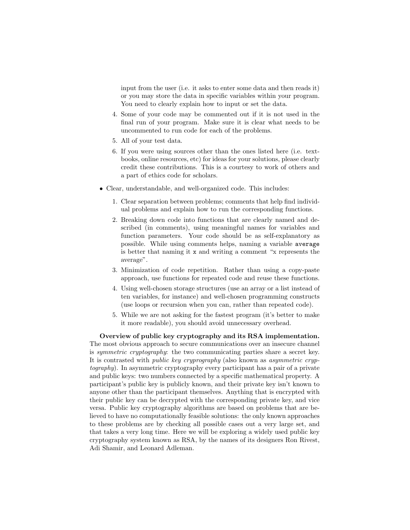input from the user (i.e. it asks to enter some data and then reads it) or you may store the data in specific variables within your program. You need to clearly explain how to input or set the data.

- 4. Some of your code may be commented out if it is not used in the final run of your program. Make sure it is clear what needs to be uncommented to run code for each of the problems.
- 5. All of your test data.
- 6. If you were using sources other than the ones listed here (i.e. textbooks, online resources, etc) for ideas for your solutions, please clearly credit these contributions. This is a courtesy to work of others and a part of ethics code for scholars.
- Clear, understandable, and well-organized code. This includes:
	- 1. Clear separation between problems; comments that help find individual problems and explain how to run the corresponding functions.
	- 2. Breaking down code into functions that are clearly named and described (in comments), using meaningful names for variables and function parameters. Your code should be as self-explanatory as possible. While using comments helps, naming a variable average is better that naming it x and writing a comment "x represents the average".
	- 3. Minimization of code repetition. Rather than using a copy-paste approach, use functions for repeated code and reuse these functions.
	- 4. Using well-chosen storage structures (use an array or a list instead of ten variables, for instance) and well-chosen programming constructs (use loops or recursion when you can, rather than repeated code).
	- 5. While we are not asking for the fastest program (it's better to make it more readable), you should avoid unnecessary overhead.

Overview of public key cryptography and its RSA implementation. The most obvious approach to secure communications over an insecure channel is symmetric cryptography: the two communicating parties share a secret key. It is contrasted with public key cryprography (also known as asymmetric cryptography). In asymmetric cryptography every participant has a pair of a private and public keys: two numbers connected by a specific mathematical property. A participant's public key is publicly known, and their private key isn't known to anyone other than the participant themselves. Anything that is encrypted with their public key can be decrypted with the corresponding private key, and vice versa. Public key cryptography algorithms are based on problems that are believed to have no computationally feasible solutions: the only known approaches to these problems are by checking all possible cases out a very large set, and that takes a very long time. Here we will be exploring a widely used public key cryptography system known as RSA, by the names of its designers Ron Rivest, Adi Shamir, and Leonard Adleman.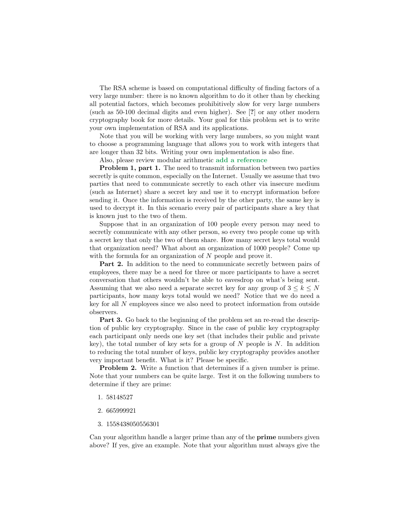The RSA scheme is based on computational difficulty of finding factors of a very large number: there is no known algorithm to do it other than by checking all potential factors, which becomes prohibitively slow for very large numbers (such as 50-100 decimal digits and even higher). See [?] or any other modern cryptography book for more details. Your goal for this problem set is to write your own implementation of RSA and its applications.

Note that you will be working with very large numbers, so you might want to choose a programming language that allows you to work with integers that are longer than 32 bits. Writing your own implementation is also fine.

Also, please review modular arithmetic add a reference

Problem 1, part 1. The need to transmit information between two parties secretly is quite common, especially on the Internet. Usually we assume that two parties that need to communicate secretly to each other via insecure medium (such as Internet) share a secret key and use it to encrypt information before sending it. Once the information is received by the other party, the same key is used to decrypt it. In this scenario every pair of participants share a key that is known just to the two of them.

Suppose that in an organization of 100 people every person may need to secretly communicate with any other person, so every two people come up with a secret key that only the two of them share. How many secret keys total would that organization need? What about an organization of 1000 people? Come up with the formula for an organization of N people and prove it.

Part 2. In addition to the need to communicate secretly between pairs of employees, there may be a need for three or more participants to have a secret conversation that others wouldn't be able to eavesdrop on what's being sent. Assuming that we also need a separate secret key for any group of  $3 \leq k \leq N$ participants, how many keys total would we need? Notice that we do need a key for all N employees since we also need to protect information from outside observers.

Part 3. Go back to the beginning of the problem set an re-read the description of public key cryptography. Since in the case of public key cryptography each participant only needs one key set (that includes their public and private key), the total number of key sets for a group of  $N$  people is  $N$ . In addition to reducing the total number of keys, public key cryptography provides another very important benefit. What is it? Please be specific.

Problem 2. Write a function that determines if a given number is prime. Note that your numbers can be quite large. Test it on the following numbers to determine if they are prime:

- 1. 58148527
- 2. 665999921
- 3. 1558438050556301

Can your algorithm handle a larger prime than any of the prime numbers given above? If yes, give an example. Note that your algorithm must always give the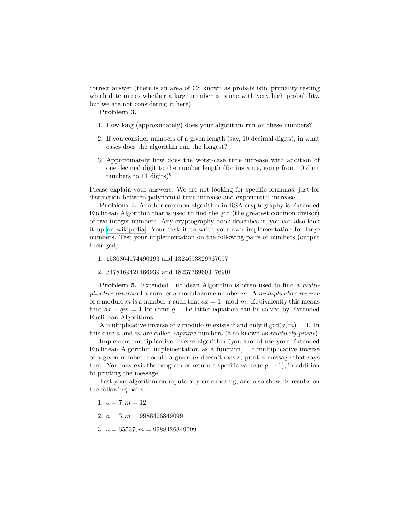correct answer (there is an area of CS known as probabilistic primality testing which determines whether a large number is prime with very high probability, but we are not considering it here).

## Problem 3.

- 1. How long (approximately) does your algorithm run on these numbers?
- 2. If you consider numbers of a given length (say, 10 decimal digits), in what cases does the algorithm run the longest?
- 3. Approximately how does the worst-case time increase with addition of one decimal digit to the number length (for instance, going from 10 digit numbers to 11 digits)?

Please explain your answers. We are not looking for specific formulas, just for distinction between polynomial time increase and exponential increase.

Problem 4. Another common algorithm in RSA cryptography is Extended Euclidean Algorithm that is used to find the gcd (the greatest common divisor) of two integer numbers. Any cryptography book describes it, you can also look it up [on wikipedia.](https://en.wikipedia.org/wiki/Extended_Euclidean_algorithm) Your task it to write your own implementation for large numbers. Test your implementation on the following pairs of numbers (output their gcd):

- 1. 1530864174490193 and 1324693829967097
- 2. 3478169421466939 and 18237769603176901

**Problem 5.** Extended Euclidean Algorithm is often used to find a *multi*plicative inverse of a number  $a$  modulo some number  $m$ . A *multiplicative inverse* of a modulo m is a number x such that  $ax = 1 \mod m$ . Equivalently this means that  $ax - qm = 1$  for some q. The latter equation can be solved by Extended Euclidean Algorithms.

A multiplicative inverse of a modulo m exists if and only if  $gcd(a, m) = 1$ . In this case a and m are called *coprime* numbers (also known as *relatively prime*).

Implement multiplicative inverse algorithm (you should use your Extended Euclidean Algorithm implementation as a function). If multiplicative inverse of a given number modulo a given  $m$  doesn't exists, print a message that says that. You may exit the program or return a specific value (e.g.  $-1$ ), in addition to printing the message.

Test your algorithm on inputs of your choosing, and also show its results on the following pairs:

- 1.  $a = 7, m = 12$
- 2.  $a = 3, m = 9988426849099$
- 3.  $a = 65537, m = 9988426849099$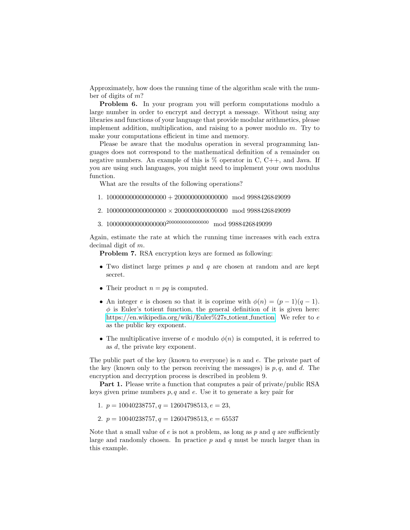Approximately, how does the running time of the algorithm scale with the number of digits of m?

Problem 6. In your program you will perform computations modulo a large number in order to encrypt and decrypt a message. Without using any libraries and functions of your language that provide modular arithmetics, please implement addition, multiplication, and raising to a power modulo  $m$ . Try to make your computations efficient in time and memory.

Please be aware that the modulus operation in several programming languages does not correspond to the mathematical definition of a remainder on negative numbers. An example of this is  $\%$  operator in C, C++, and Java. If you are using such languages, you might need to implement your own modulus function.

What are the results of the following operations?

- 1. 100000000000000000 + 2000000000000000 mod 9988426849099
- 2. 100000000000000000  $\times$  20000000000000000 mod 9988426849099
- 3. 100000000000000000<sup>2000000000000000</sup> mod 9988426849099

Again, estimate the rate at which the running time increases with each extra decimal digit of m.

Problem 7. RSA encryption keys are formed as following:

- Two distinct large primes  $p$  and  $q$  are chosen at random and are kept secret.
- Their product  $n = pq$  is computed.
- An integer e is chosen so that it is coprime with  $\phi(n) = (p-1)(q-1)$ .  $\phi$  is Euler's totient function, the general definition of it is given here: [https://en.wikipedia.org/wiki/Euler%27s](https://en.wikipedia.org/wiki/Euler%27s_totient_function)\_totient\_function. We refer to  $e$ as the public key exponent.
- The multiplicative inverse of e modulo  $\phi(n)$  is computed, it is referred to as d, the private key exponent.

The public part of the key (known to everyone) is  $n$  and  $e$ . The private part of the key (known only to the person receiving the messages) is  $p, q$ , and d. The encryption and decryption process is described in problem 9.

Part 1. Please write a function that computes a pair of private/public RSA keys given prime numbers  $p, q$  and  $e$ . Use it to generate a key pair for

- 1.  $p = 10040238757, q = 12604798513, e = 23,$
- 2.  $p = 10040238757, q = 12604798513, e = 65537$

Note that a small value of  $e$  is not a problem, as long as  $p$  and  $q$  are sufficiently large and randomly chosen. In practice  $p$  and  $q$  must be much larger than in this example.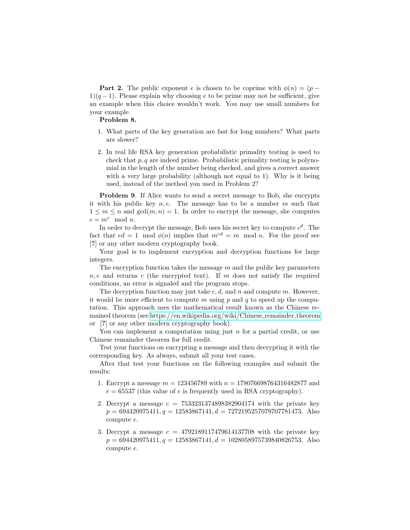**Part 2.** The public exponent e is chosen to be coprime with  $\phi(n) = (p - \mathbf{r})$  $1(q-1)$ . Please explain why choosing e to be prime may not be sufficient, give an example when this choice wouldn't work. You may use small numbers for your example.

## Problem 8.

- 1. What parts of the key generation are fast for long numbers? What parts are slower?
- 2. In real life RSA key generation probabilistic primality testing is used to check that  $p, q$  are indeed prime. Probabilistic primality testing is polynomial in the length of the number being checked, and gives a correct answer with a very large probability (although not equal to 1). Why is it being used, instead of the method you used in Problem 2?

Problem 9. If Alice wants to send a secret message to Bob, she encrypts it with his public key  $n, e$ . The message has to be a number m such that  $1 \leq m \leq n$  and  $gcd(m, n) = 1$ . In order to encrypt the message, she computes  $c = m^e \mod n$ .

In order to decrypt the message, Bob uses his secret key to compute  $c^d$ . The fact that  $ed = 1 \mod \phi(n)$  implies that  $m^{ed} = m \mod n$ . For the proof see [?] or any other modern cryptography book.

Your goal is to implement encryption and decryption functions for large integers.

The encryption function takes the message  $m$  and the public key parameters  $n, e$  and returns c (the encrypted text). If m does not satisfy the required conditions, an error is signaled and the program stops.

The decryption function may just take c, d, and n and compute m. However, it would be more efficient to compute m using p and q to speed up the computation. This approach uses the mathematical result known as the Chinese remained theorem (see [https://en.wikipedia.org/wiki/Chinese](https://en.wikipedia.org/wiki/Chinese_remainder_theorem) remainder theorem or [?] or any other modern cryptography book).

You can implement a computation using just  $n$  for a partial credit, or use Chinese remainder theorem for full credit.

Test your functions on encrypting a message and then decrypting it with the corresponding key. As always, submit all your test cases.

After that test your functions on the following examples and submit the results:

- 1. Encrypt a message  $m = 123456789$  with  $n = 178076698764316482877$  and  $e = 65537$  (this value of e is frequently used in RSA cryptography).
- 2. Decrypt a message  $c = 7533231374898382904174$  with the private key  $p = 694420975411, q = 12583867141, d = 7272195257079707781473.$  Also compute e.
- 3. Decrypt a message  $c = 4792189117479614137708$  with the private key  $p = 694420975411, q = 12583867141, d = 1028058975739840826753.$  Also compute e.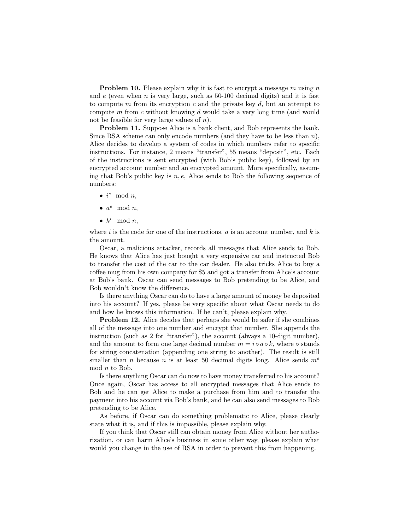**Problem 10.** Please explain why it is fast to encrypt a message m using n and  $e$  (even when  $n$  is very large, such as 50-100 decimal digits) and it is fast to compute m from its encryption c and the private key d, but an attempt to compute m from c without knowing d would take a very long time (and would not be feasible for very large values of  $n$ ).

Problem 11. Suppose Alice is a bank client, and Bob represents the bank. Since RSA scheme can only encode numbers (and they have to be less than  $n$ ), Alice decides to develop a system of codes in which numbers refer to specific instructions. For instance, 2 means "transfer", 55 means "deposit", etc. Each of the instructions is sent encrypted (with Bob's public key), followed by an encrypted account number and an encrypted amount. More specifically, assuming that Bob's public key is  $n, e$ , Alice sends to Bob the following sequence of numbers:

- $i^e \mod n$ ,
- $a^e \mod n$ ,
- $k^e \mod n$ ,

where  $i$  is the code for one of the instructions,  $a$  is an account number, and  $k$  is the amount.

Oscar, a malicious attacker, records all messages that Alice sends to Bob. He knows that Alice has just bought a very expensive car and instructed Bob to transfer the cost of the car to the car dealer. He also tricks Alice to buy a coffee mug from his own company for \$5 and got a transfer from Alice's account at Bob's bank. Oscar can send messages to Bob pretending to be Alice, and Bob wouldn't know the difference.

Is there anything Oscar can do to have a large amount of money be deposited into his account? If yes, please be very specific about what Oscar needs to do and how he knows this information. If he can't, please explain why.

Problem 12. Alice decides that perhaps she would be safer if she combines all of the message into one number and encrypt that number. She appends the instruction (such as 2 for "transfer"), the account (always a 10-digit number), and the amount to form one large decimal number  $m = i \circ a \circ k$ , where  $\circ$  stands for string concatenation (appending one string to another). The result is still smaller than *n* because *n* is at least 50 decimal digits long. Alice sends  $m^e$ mod n to Bob.

Is there anything Oscar can do now to have money transferred to his account? Once again, Oscar has access to all encrypted messages that Alice sends to Bob and he can get Alice to make a purchase from him and to transfer the payment into his account via Bob's bank, and he can also send messages to Bob pretending to be Alice.

As before, if Oscar can do something problematic to Alice, please clearly state what it is, and if this is impossible, please explain why.

If you think that Oscar still can obtain money from Alice without her authorization, or can harm Alice's business in some other way, please explain what would you change in the use of RSA in order to prevent this from happening.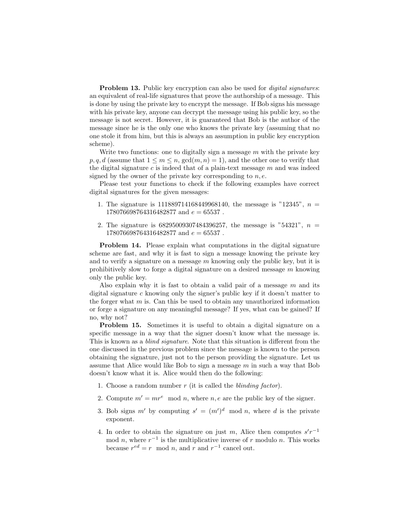**Problem 13.** Public key encryption can also be used for *digital signatures*: an equivalent of real-life signatures that prove the authorship of a message. This is done by using the private key to encrypt the message. If Bob signs his message with his private key, anyone can decrypt the message using his public key, so the message is not secret. However, it is guaranteed that Bob is the author of the message since he is the only one who knows the private key (assuming that no one stole it from him, but this is always an assumption in public key encryption scheme).

Write two functions: one to digitally sign a message  $m$  with the private key  $p, q, d$  (assume that  $1 \leq m \leq n$ ,  $gcd(m, n) = 1$ ), and the other one to verify that the digital signature c is indeed that of a plain-text message  $m$  and was indeed signed by the owner of the private key corresponding to  $n, e$ .

Please test your functions to check if the following examples have correct digital signatures for the given messages:

- 1. The signature is  $111889714168449968140$ , the message is "12345",  $n =$  $178076698764316482877$  and  $e = 65537$ .
- 2. The signature is  $68295009307484396257$ , the message is "54321",  $n =$ 178076698764316482877 and  $e = 65537$ .

Problem 14. Please explain what computations in the digital signature scheme are fast, and why it is fast to sign a message knowing the private key and to verify a signature on a message  $m$  knowing only the public key, but it is prohibitively slow to forge a digital signature on a desired message  $m$  knowing only the public key.

Also explain why it is fast to obtain a valid pair of a message  $m$  and its digital signature c knowing only the signer's public key if it doesn't matter to the forger what  $m$  is. Can this be used to obtain any unauthorized information or forge a signature on any meaningful message? If yes, what can be gained? If no, why not?

Problem 15. Sometimes it is useful to obtain a digital signature on a specific message in a way that the signer doesn't know what the message is. This is known as a blind signature. Note that this situation is different from the one discussed in the previous problem since the message is known to the person obtaining the signature, just not to the person providing the signature. Let us assume that Alice would like Bob to sign a message  $m$  in such a way that Bob doesn't know what it is. Alice would then do the following:

- 1. Choose a random number  $r$  (it is called the *blinding factor*).
- 2. Compute  $m' = mr^e \mod n$ , where n, e are the public key of the signer.
- 3. Bob signs m' by computing  $s' = (m')^d \mod n$ , where d is the private exponent.
- 4. In order to obtain the signature on just m, Alice then computes  $s'r^{-1}$ mod n, where  $r^{-1}$  is the multiplicative inverse of r modulo n. This works because  $r^{ed} = r \mod n$ , and r and  $r^{-1}$  cancel out.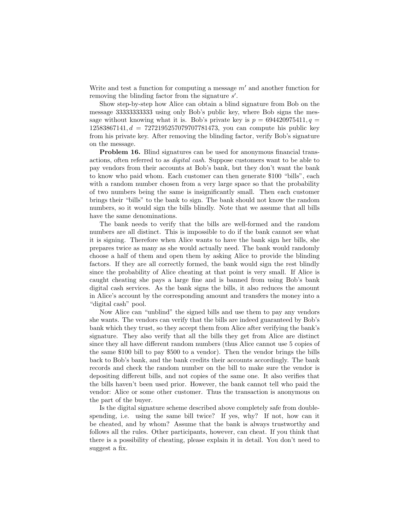Write and test a function for computing a message  $m'$  and another function for removing the blinding factor from the signature  $s'$ .

Show step-by-step how Alice can obtain a blind signature from Bob on the message 33333333333 using only Bob's public key, where Bob signs the message without knowing what it is. Bob's private key is  $p = 694420975411$ ,  $q =$  $12583867141, d = 7272195257079707781473$ , you can compute his public key from his private key. After removing the blinding factor, verify Bob's signature on the message.

Problem 16. Blind signatures can be used for anonymous financial transactions, often referred to as digital cash. Suppose customers want to be able to pay vendors from their accounts at Bob's bank, but they don't want the bank to know who paid whom. Each customer can then generate \$100 "bills", each with a random number chosen from a very large space so that the probability of two numbers being the same is insignificantly small. Then each customer brings their "bills" to the bank to sign. The bank should not know the random numbers, so it would sign the bills blindly. Note that we assume that all bills have the same denominations.

The bank needs to verify that the bills are well-formed and the random numbers are all distinct. This is impossible to do if the bank cannot see what it is signing. Therefore when Alice wants to have the bank sign her bills, she prepares twice as many as she would actually need. The bank would randomly choose a half of them and open them by asking Alice to provide the blinding factors. If they are all correctly formed, the bank would sign the rest blindly since the probability of Alice cheating at that point is very small. If Alice is caught cheating she pays a large fine and is banned from using Bob's bank digital cash services. As the bank signs the bills, it also reduces the amount in Alice's account by the corresponding amount and transfers the money into a "digital cash" pool.

Now Alice can "unblind" the signed bills and use them to pay any vendors she wants. The vendors can verify that the bills are indeed guaranteed by Bob's bank which they trust, so they accept them from Alice after verifying the bank's signature. They also verify that all the bills they get from Alice are distinct since they all have different random numbers (thus Alice cannot use 5 copies of the same \$100 bill to pay \$500 to a vendor). Then the vendor brings the bills back to Bob's bank, and the bank credits their accounts accordingly. The bank records and check the random number on the bill to make sure the vendor is depositing different bills, and not copies of the same one. It also verifies that the bills haven't been used prior. However, the bank cannot tell who paid the vendor: Alice or some other customer. Thus the transaction is anonymous on the part of the buyer.

Is the digital signature scheme described above completely safe from doublespending, i.e. using the same bill twice? If yes, why? If not, how can it be cheated, and by whom? Assume that the bank is always trustworthy and follows all the rules. Other participants, however, can cheat. If you think that there is a possibility of cheating, please explain it in detail. You don't need to suggest a fix.